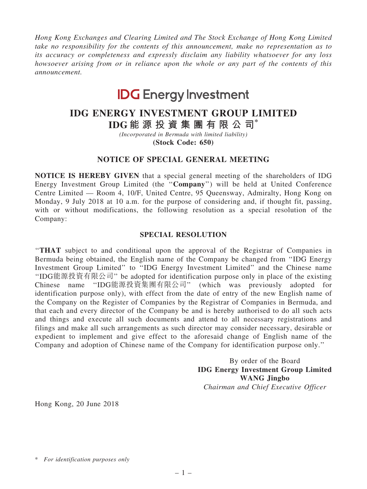*Hong Kong Exchanges and Clearing Limited and The Stock Exchange of Hong Kong Limited take no responsibility for the contents of this announcement, make no representation as to its accuracy or completeness and expressly disclaim any liability whatsoever for any loss howsoever arising from or in reliance upon the whole or any part of the contents of this announcement.*

# **IDG** Energy Investment

## IDG ENERGY INVESTMENT GROUP LIMITED

IDG 能 源 投 資 集 團 有 限 公 司\*

*(Incorporated in Bermuda with limited liability)* (Stock Code: 650)

### NOTICE OF SPECIAL GENERAL MEETING

NOTICE IS HEREBY GIVEN that a special general meeting of the shareholders of IDG Energy Investment Group Limited (the ''Company'') will be held at United Conference Centre Limited — Room 4, 10/F, United Centre, 95 Queensway, Admiralty, Hong Kong on Monday, 9 July 2018 at 10 a.m. for the purpose of considering and, if thought fit, passing, with or without modifications, the following resolution as a special resolution of the Company:

#### SPECIAL RESOLUTION

''THAT subject to and conditional upon the approval of the Registrar of Companies in Bermuda being obtained, the English name of the Company be changed from ''IDG Energy Investment Group Limited'' to ''IDG Energy Investment Limited'' and the Chinese name ''IDG能源投資有限公司'' be adopted for identification purpose only in place of the existing Chinese name ''IDG能源投資集團有限公司'' (which was previously adopted for identification purpose only), with effect from the date of entry of the new English name of the Company on the Register of Companies by the Registrar of Companies in Bermuda, and that each and every director of the Company be and is hereby authorised to do all such acts and things and execute all such documents and attend to all necessary registrations and filings and make all such arrangements as such director may consider necessary, desirable or expedient to implement and give effect to the aforesaid change of English name of the Company and adoption of Chinese name of the Company for identification purpose only.''

> By order of the Board IDG Energy Investment Group Limited WANG Jingbo *Chairman and Chief Executive Officer*

Hong Kong, 20 June 2018

<sup>\*</sup> *For identification purposes only*